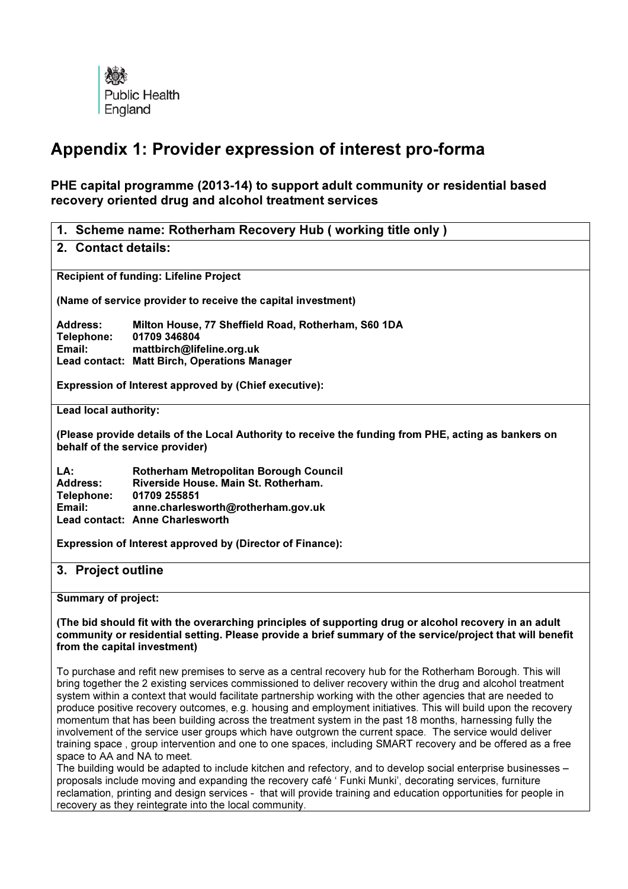

# Appendix 1: Provider expression of interest pro-forma

PHE capital programme (2013-14) to support adult community or residential based recovery oriented drug and alcohol treatment services

| 1. Scheme name: Rotherham Recovery Hub (working title only)                                                                             |                                                                                                                                                                         |  |
|-----------------------------------------------------------------------------------------------------------------------------------------|-------------------------------------------------------------------------------------------------------------------------------------------------------------------------|--|
| 2. Contact details:                                                                                                                     |                                                                                                                                                                         |  |
| <b>Recipient of funding: Lifeline Project</b>                                                                                           |                                                                                                                                                                         |  |
| (Name of service provider to receive the capital investment)                                                                            |                                                                                                                                                                         |  |
| Address:<br>Telephone:<br>Email:                                                                                                        | Milton House, 77 Sheffield Road, Rotherham, S60 1DA<br>01709 346804<br>mattbirch@lifeline.org.uk<br>Lead contact: Matt Birch, Operations Manager                        |  |
| <b>Expression of Interest approved by (Chief executive):</b>                                                                            |                                                                                                                                                                         |  |
| Lead local authority:                                                                                                                   |                                                                                                                                                                         |  |
| (Please provide details of the Local Authority to receive the funding from PHE, acting as bankers on<br>behalf of the service provider) |                                                                                                                                                                         |  |
| LA:<br>Address:<br><b>Telephone:</b><br>Email:                                                                                          | Rotherham Metropolitan Borough Council<br>Riverside House, Main St. Rotherham.<br>01709 255851<br>anne.charlesworth@rotherham.gov.uk<br>Lead contact: Anne Charlesworth |  |
| <b>Expression of Interest approved by (Director of Finance):</b>                                                                        |                                                                                                                                                                         |  |
| 3.<br><b>Project outline</b>                                                                                                            |                                                                                                                                                                         |  |

Summary of project:

(The bid should fit with the overarching principles of supporting drug or alcohol recovery in an adult community or residential setting. Please provide a brief summary of the service/project that will benefit from the capital investment)

To purchase and refit new premises to serve as a central recovery hub for the Rotherham Borough. This will bring together the 2 existing services commissioned to deliver recovery within the drug and alcohol treatment system within a context that would facilitate partnership working with the other agencies that are needed to produce positive recovery outcomes, e.g. housing and employment initiatives. This will build upon the recovery momentum that has been building across the treatment system in the past 18 months, harnessing fully the involvement of the service user groups which have outgrown the current space. The service would deliver training space , group intervention and one to one spaces, including SMART recovery and be offered as a free space to AA and NA to meet.

The building would be adapted to include kitchen and refectory, and to develop social enterprise businesses – proposals include moving and expanding the recovery café ' Funki Munki', decorating services, furniture reclamation, printing and design services - that will provide training and education opportunities for people in recovery as they reintegrate into the local community.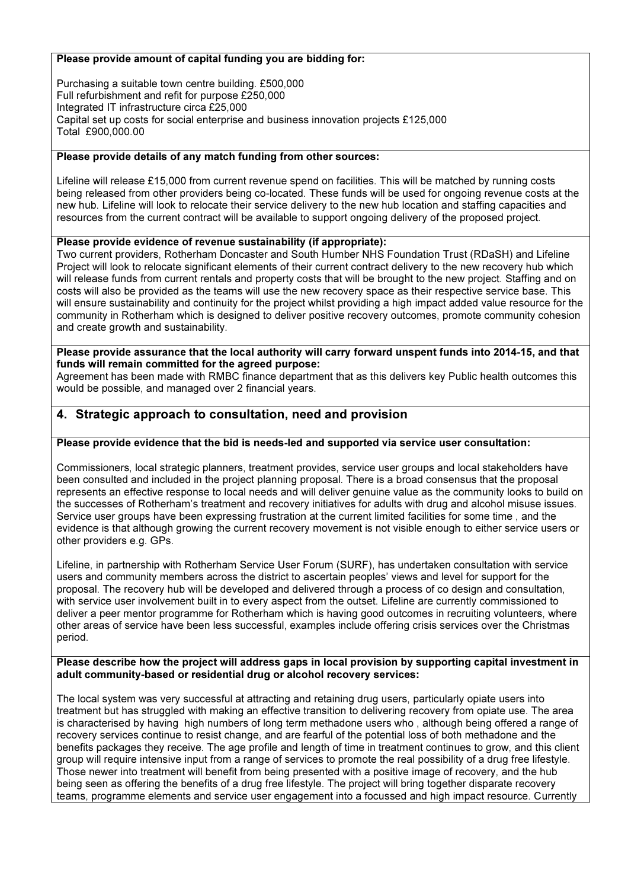#### Please provide amount of capital funding you are bidding for:

Purchasing a suitable town centre building. £500,000 Full refurbishment and refit for purpose £250,000 Integrated IT infrastructure circa £25,000 Capital set up costs for social enterprise and business innovation projects £125,000 Total £900,000.00

#### Please provide details of any match funding from other sources:

Lifeline will release £15,000 from current revenue spend on facilities. This will be matched by running costs being released from other providers being co-located. These funds will be used for ongoing revenue costs at the new hub. Lifeline will look to relocate their service delivery to the new hub location and staffing capacities and resources from the current contract will be available to support ongoing delivery of the proposed project.

### Please provide evidence of revenue sustainability (if appropriate):

Two current providers, Rotherham Doncaster and South Humber NHS Foundation Trust (RDaSH) and Lifeline Project will look to relocate significant elements of their current contract delivery to the new recovery hub which will release funds from current rentals and property costs that will be brought to the new project. Staffing and on costs will also be provided as the teams will use the new recovery space as their respective service base. This will ensure sustainability and continuity for the project whilst providing a high impact added value resource for the community in Rotherham which is designed to deliver positive recovery outcomes, promote community cohesion and create growth and sustainability.

#### Please provide assurance that the local authority will carry forward unspent funds into 2014-15, and that funds will remain committed for the agreed purpose:

Agreement has been made with RMBC finance department that as this delivers key Public health outcomes this would be possible, and managed over 2 financial years.

## 4. Strategic approach to consultation, need and provision

#### Please provide evidence that the bid is needs-led and supported via service user consultation:

Commissioners, local strategic planners, treatment provides, service user groups and local stakeholders have been consulted and included in the project planning proposal. There is a broad consensus that the proposal represents an effective response to local needs and will deliver genuine value as the community looks to build on the successes of Rotherham's treatment and recovery initiatives for adults with drug and alcohol misuse issues. Service user groups have been expressing frustration at the current limited facilities for some time , and the evidence is that although growing the current recovery movement is not visible enough to either service users or other providers e.g. GPs.

Lifeline, in partnership with Rotherham Service User Forum (SURF), has undertaken consultation with service users and community members across the district to ascertain peoples' views and level for support for the proposal. The recovery hub will be developed and delivered through a process of co design and consultation, with service user involvement built in to every aspect from the outset. Lifeline are currently commissioned to deliver a peer mentor programme for Rotherham which is having good outcomes in recruiting volunteers, where other areas of service have been less successful, examples include offering crisis services over the Christmas period.

#### Please describe how the project will address gaps in local provision by supporting capital investment in adult community-based or residential drug or alcohol recovery services:

The local system was very successful at attracting and retaining drug users, particularly opiate users into treatment but has struggled with making an effective transition to delivering recovery from opiate use. The area is characterised by having high numbers of long term methadone users who , although being offered a range of recovery services continue to resist change, and are fearful of the potential loss of both methadone and the benefits packages they receive. The age profile and length of time in treatment continues to grow, and this client group will require intensive input from a range of services to promote the real possibility of a drug free lifestyle. Those newer into treatment will benefit from being presented with a positive image of recovery, and the hub being seen as offering the benefits of a drug free lifestyle. The project will bring together disparate recovery teams, programme elements and service user engagement into a focussed and high impact resource. Currently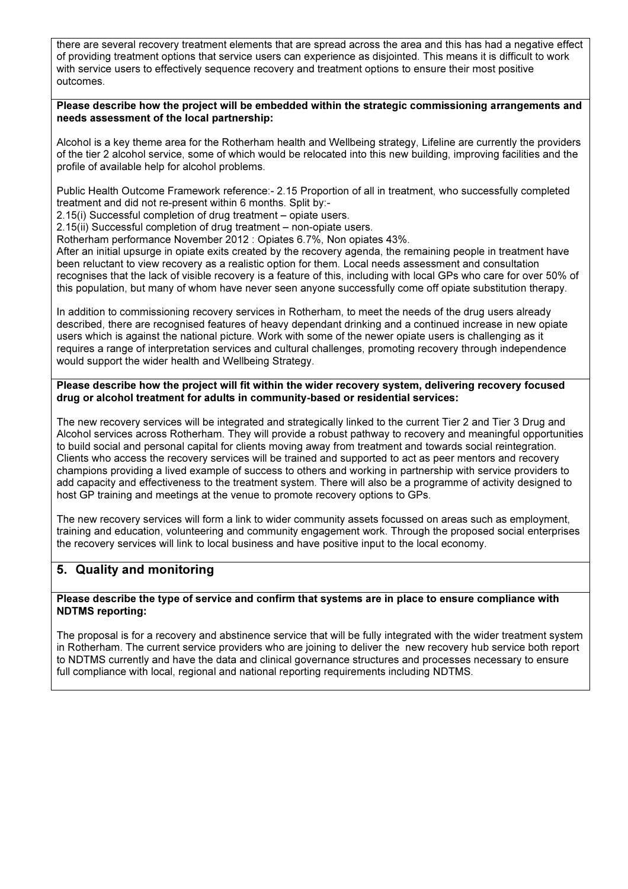there are several recovery treatment elements that are spread across the area and this has had a negative effect of providing treatment options that service users can experience as disjointed. This means it is difficult to work with service users to effectively sequence recovery and treatment options to ensure their most positive outcomes.

#### Please describe how the project will be embedded within the strategic commissioning arrangements and needs assessment of the local partnership:

Alcohol is a key theme area for the Rotherham health and Wellbeing strategy, Lifeline are currently the providers of the tier 2 alcohol service, some of which would be relocated into this new building, improving facilities and the profile of available help for alcohol problems.

Public Health Outcome Framework reference:- 2.15 Proportion of all in treatment, who successfully completed treatment and did not re-present within 6 months. Split by:-

2.15(i) Successful completion of drug treatment – opiate users.

2.15(ii) Successful completion of drug treatment – non-opiate users.

Rotherham performance November 2012 : Opiates 6.7%, Non opiates 43%.

After an initial upsurge in opiate exits created by the recovery agenda, the remaining people in treatment have been reluctant to view recovery as a realistic option for them. Local needs assessment and consultation recognises that the lack of visible recovery is a feature of this, including with local GPs who care for over 50% of this population, but many of whom have never seen anyone successfully come off opiate substitution therapy.

In addition to commissioning recovery services in Rotherham, to meet the needs of the drug users already described, there are recognised features of heavy dependant drinking and a continued increase in new opiate users which is against the national picture. Work with some of the newer opiate users is challenging as it requires a range of interpretation services and cultural challenges, promoting recovery through independence would support the wider health and Wellbeing Strategy.

#### Please describe how the project will fit within the wider recovery system, delivering recovery focused drug or alcohol treatment for adults in community-based or residential services:

The new recovery services will be integrated and strategically linked to the current Tier 2 and Tier 3 Drug and Alcohol services across Rotherham. They will provide a robust pathway to recovery and meaningful opportunities to build social and personal capital for clients moving away from treatment and towards social reintegration. Clients who access the recovery services will be trained and supported to act as peer mentors and recovery champions providing a lived example of success to others and working in partnership with service providers to add capacity and effectiveness to the treatment system. There will also be a programme of activity designed to host GP training and meetings at the venue to promote recovery options to GPs.

The new recovery services will form a link to wider community assets focussed on areas such as employment, training and education, volunteering and community engagement work. Through the proposed social enterprises the recovery services will link to local business and have positive input to the local economy.

## 5. Quality and monitoring

#### Please describe the type of service and confirm that systems are in place to ensure compliance with NDTMS reporting:

The proposal is for a recovery and abstinence service that will be fully integrated with the wider treatment system in Rotherham. The current service providers who are joining to deliver the new recovery hub service both report to NDTMS currently and have the data and clinical governance structures and processes necessary to ensure full compliance with local, regional and national reporting requirements including NDTMS.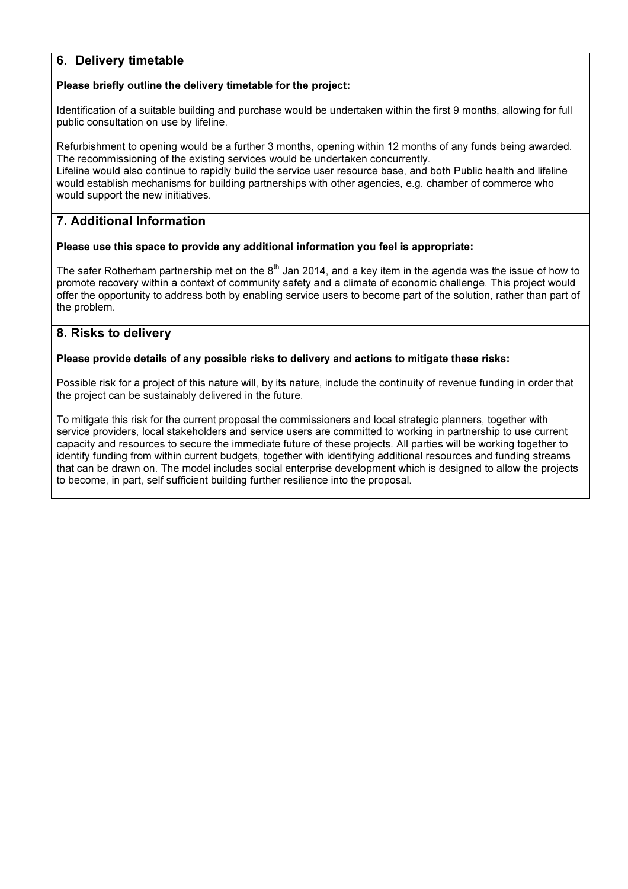# 6. Delivery timetable

### Please briefly outline the delivery timetable for the project:

Identification of a suitable building and purchase would be undertaken within the first 9 months, allowing for full public consultation on use by lifeline.

Refurbishment to opening would be a further 3 months, opening within 12 months of any funds being awarded. The recommissioning of the existing services would be undertaken concurrently. Lifeline would also continue to rapidly build the service user resource base, and both Public health and lifeline would establish mechanisms for building partnerships with other agencies, e.g. chamber of commerce who would support the new initiatives.

## 7. Additional Information

### Please use this space to provide any additional information you feel is appropriate:

The safer Rotherham partnership met on the  $8<sup>th</sup>$  Jan 2014, and a key item in the agenda was the issue of how to promote recovery within a context of community safety and a climate of economic challenge. This project would offer the opportunity to address both by enabling service users to become part of the solution, rather than part of the problem.

## 8. Risks to delivery

### Please provide details of any possible risks to delivery and actions to mitigate these risks:

Possible risk for a project of this nature will, by its nature, include the continuity of revenue funding in order that the project can be sustainably delivered in the future.

To mitigate this risk for the current proposal the commissioners and local strategic planners, together with service providers, local stakeholders and service users are committed to working in partnership to use current capacity and resources to secure the immediate future of these projects. All parties will be working together to identify funding from within current budgets, together with identifying additional resources and funding streams that can be drawn on. The model includes social enterprise development which is designed to allow the projects to become, in part, self sufficient building further resilience into the proposal.